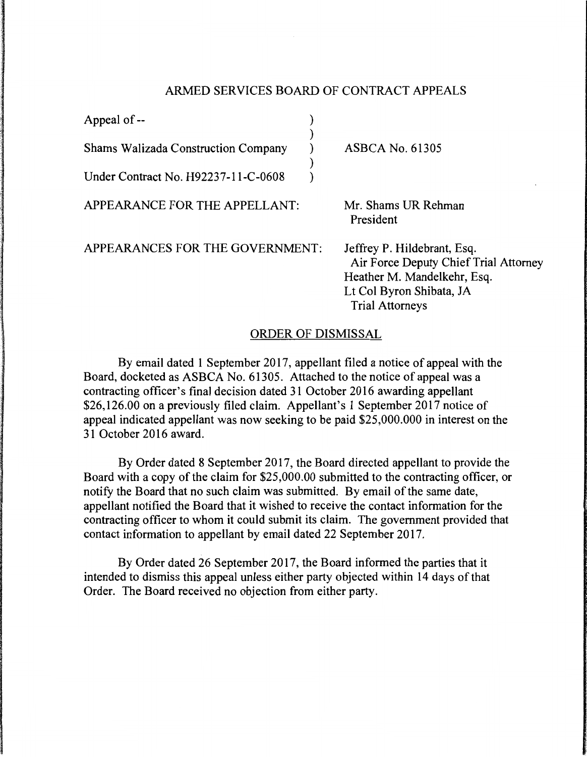## ARMED SERVICES BOARD OF CONTRACT APPEALS

| Appeal of --                               |                                                                                                                                                           |
|--------------------------------------------|-----------------------------------------------------------------------------------------------------------------------------------------------------------|
| <b>Shams Walizada Construction Company</b> | <b>ASBCA No. 61305</b>                                                                                                                                    |
| Under Contract No. H92237-11-C-0608        |                                                                                                                                                           |
| APPEARANCE FOR THE APPELLANT:              | Mr. Shams UR Rehman<br>President                                                                                                                          |
| APPEARANCES FOR THE GOVERNMENT:            | Jeffrey P. Hildebrant, Esq.<br>Air Force Deputy Chief Trial Attorney<br>Heather M. Mandelkehr, Esq.<br>Lt Col Byron Shibata, JA<br><b>Trial Attorneys</b> |

## ORDER OF DISMISSAL

By email dated 1 September 2017, appellant filed a notice of appeal with the Board, docketed as ASBCA No. 61305. Attached to the notice of appeal was a contracting officer's final decision dated 31 October 2016 awarding appellant \$26,126.00 on a previously filed claim. Appellant's 1 September 2017 notice of appeal indicated appellant was now seeking to be paid \$25,000.000 in interest on the 31 October 2016 award.

By Order dated 8 September 2017, the Board directed appellant to provide the Board with a copy of the claim for \$25,000.00 submitted to the contracting officer, or notify the Board that no such claim was submitted. By email of the same date, appellant notified the Board that it wished to receive the contact information for the contracting officer to whom it could submit its claim. The government provided that contact information to appellant by email dated 22 September 2017.

By Order dated 26 September 2017, the Board informed the parties that it intended to dismiss this appeal unless either party objected within 14 days of that Order. The Board received no objection from either party.